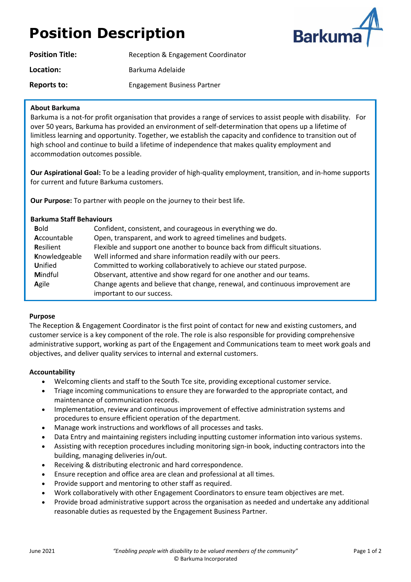# **Position Description**



| <b>Position Title:</b> | Reception & Engagement Coordinator |
|------------------------|------------------------------------|
| Location:              | Barkuma Adelaide                   |
| Reports to:            | <b>Engagement Business Partner</b> |

#### **About Barkuma**

Barkuma is a not-for profit organisation that provides a range of services to assist people with disability. For over 50 years, Barkuma has provided an environment of self-determination that opens up a lifetime of limitless learning and opportunity. Together, we establish the capacity and confidence to transition out of high school and continue to build a lifetime of independence that makes quality employment and accommodation outcomes possible.

**Our Aspirational Goal:** To be a leading provider of high-quality employment, transition, and in-home supports for current and future Barkuma customers.

**Our Purpose:** To partner with people on the journey to their best life.

| <b>Barkuma Staff Behaviours</b>                                                         |                                                                            |  |  |  |
|-----------------------------------------------------------------------------------------|----------------------------------------------------------------------------|--|--|--|
| <b>Bold</b>                                                                             | Confident, consistent, and courageous in everything we do.                 |  |  |  |
| Accountable                                                                             | Open, transparent, and work to agreed timelines and budgets.               |  |  |  |
| Resilient                                                                               | Flexible and support one another to bounce back from difficult situations. |  |  |  |
| Knowledgeable                                                                           | Well informed and share information readily with our peers.                |  |  |  |
| <b>Unified</b>                                                                          | Committed to working collaboratively to achieve our stated purpose.        |  |  |  |
| Mindful                                                                                 | Observant, attentive and show regard for one another and our teams.        |  |  |  |
| Change agents and believe that change, renewal, and continuous improvement are<br>Agile |                                                                            |  |  |  |
|                                                                                         | important to our success.                                                  |  |  |  |

### **Purpose**

The Reception & Engagement Coordinator is the first point of contact for new and existing customers, and customer service is a key component of the role. The role is also responsible for providing comprehensive administrative support, working as part of the Engagement and Communications team to meet work goals and objectives, and deliver quality services to internal and external customers.

#### **Accountability**

- Welcoming clients and staff to the South Tce site, providing exceptional customer service.
- Triage incoming communications to ensure they are forwarded to the appropriate contact, and maintenance of communication records.
- Implementation, review and continuous improvement of effective administration systems and procedures to ensure efficient operation of the department.
- Manage work instructions and workflows of all processes and tasks.
- Data Entry and maintaining registers including inputting customer information into various systems.
- Assisting with reception procedures including monitoring sign-in book, inducting contractors into the building, managing deliveries in/out.
- Receiving & distributing electronic and hard correspondence.
- Ensure reception and office area are clean and professional at all times.
- Provide support and mentoring to other staff as required.
- Work collaboratively with other Engagement Coordinators to ensure team objectives are met.
- Provide broad administrative support across the organisation as needed and undertake any additional reasonable duties as requested by the Engagement Business Partner.